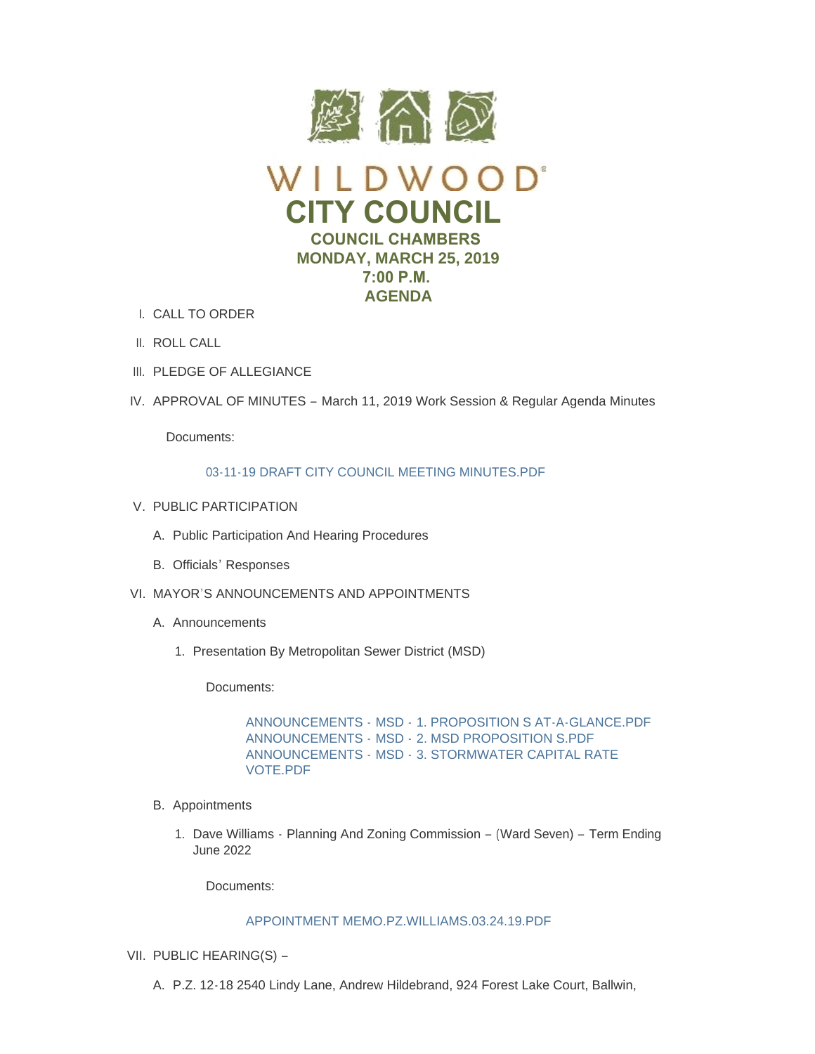

- CALL TO ORDER I.
- II. ROLL CALL
- III. PLEDGE OF ALLEGIANCE
- IV. APPROVAL OF MINUTES March 11, 2019 Work Session & Regular Agenda Minutes

Documents:

# 03-11-19 DRAFT CITY COUNCIL MEETING MINUTES PDF

- V. PUBLIC PARTICIPATION
	- A. Public Participation And Hearing Procedures
	- B. Officials' Responses
- VI. MAYOR'S ANNOUNCEMENTS AND APPOINTMENTS
	- A. Announcements
		- 1. Presentation By Metropolitan Sewer District (MSD)

Documents:

ANNOUNCEMENTS - MSD - [1. PROPOSITION S AT-A-GLANCE.PDF](https://www.cityofwildwood.com/AgendaCenter/ViewFile/Item/19545?fileID=25734) ANNOUNCEMENTS - MSD - [2. MSD PROPOSITION S.PDF](https://www.cityofwildwood.com/AgendaCenter/ViewFile/Item/19545?fileID=25732) ANNOUNCEMENTS - MSD - [3. STORMWATER CAPITAL RATE](https://www.cityofwildwood.com/AgendaCenter/ViewFile/Item/19545?fileID=25733)  VOTE.PDF

- B. Appointments
	- 1. Dave Williams Planning And Zoning Commission (Ward Seven) Term Ending June 2022

Documents:

# [APPOINTMENT MEMO.PZ.WILLIAMS.03.24.19.PDF](https://www.cityofwildwood.com/AgendaCenter/ViewFile/Item/19547?fileID=25759)

- VII. PUBLIC HEARING(S)
	- A. P.Z. 12-18 2540 Lindy Lane, Andrew Hildebrand, 924 Forest Lake Court, Ballwin,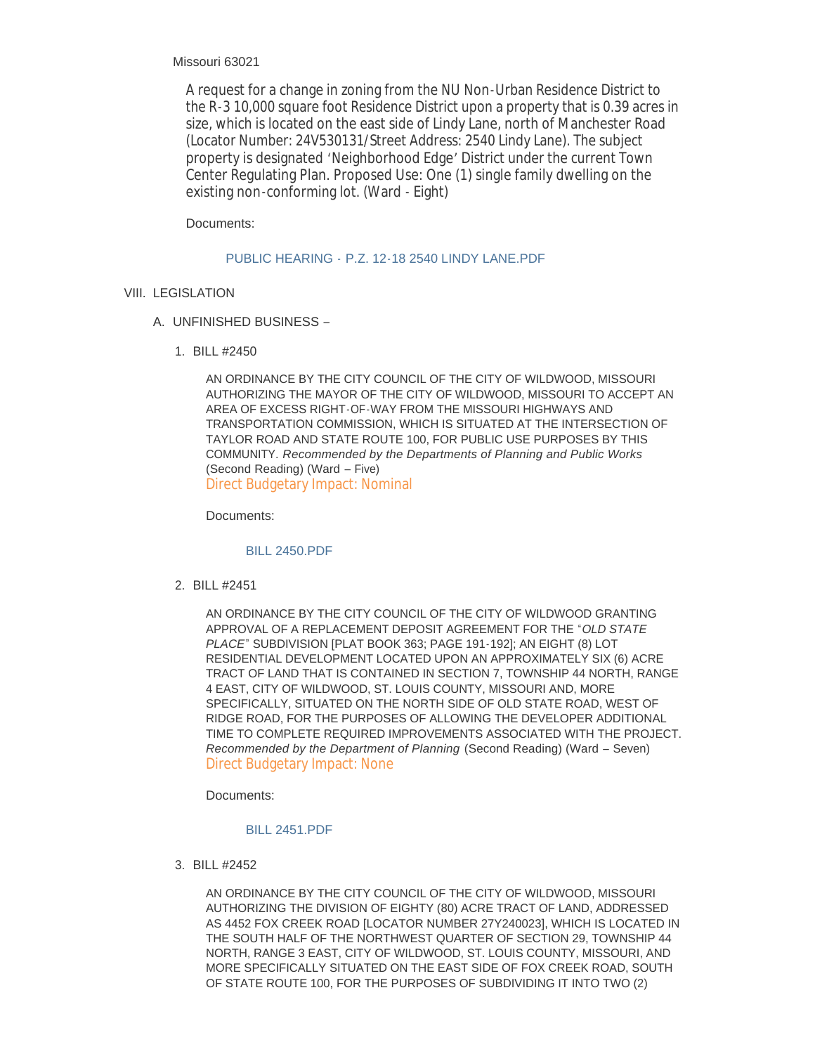## Missouri 63021

A request for a change in zoning from the NU Non-Urban Residence District to the R-3 10,000 square foot Residence District upon a property that is 0.39 acres in size, which is located on the east side of Lindy Lane, north of Manchester Road (Locator Number: 24V530131/Street Address: 2540 Lindy Lane). The subject property is designated 'Neighborhood Edge' District under the current Town Center Regulating Plan. Proposed Use: One (1) single family dwelling on the existing non-conforming lot. (Ward - Eight)

Documents:

## PUBLIC HEARING - [P.Z. 12-18 2540 LINDY LANE.PDF](https://www.cityofwildwood.com/AgendaCenter/ViewFile/Item/19549?fileID=25735)

# VIII. LEGISLATION

- UNFINISHED BUSINESS A.
	- BILL #2450 1.

AN ORDINANCE BY THE CITY COUNCIL OF THE CITY OF WILDWOOD, MISSOURI AUTHORIZING THE MAYOR OF THE CITY OF WILDWOOD, MISSOURI TO ACCEPT AN AREA OF EXCESS RIGHT-OF-WAY FROM THE MISSOURI HIGHWAYS AND TRANSPORTATION COMMISSION, WHICH IS SITUATED AT THE INTERSECTION OF TAYLOR ROAD AND STATE ROUTE 100, FOR PUBLIC USE PURPOSES BY THIS COMMUNITY. *Recommended by the Departments of Planning and Public Works*  (Second Reading) (Ward – Five) Direct Budgetary Impact: Nominal

Documents:

# [BILL 2450.PDF](https://www.cityofwildwood.com/AgendaCenter/ViewFile/Item/19552?fileID=25736)

BILL #2451 2.

AN ORDINANCE BY THE CITY COUNCIL OF THE CITY OF WILDWOOD GRANTING APPROVAL OF A REPLACEMENT DEPOSIT AGREEMENT FOR THE "*OLD STATE PLACE*" SUBDIVISION [PLAT BOOK 363; PAGE 191-192]; AN EIGHT (8) LOT RESIDENTIAL DEVELOPMENT LOCATED UPON AN APPROXIMATELY SIX (6) ACRE TRACT OF LAND THAT IS CONTAINED IN SECTION 7, TOWNSHIP 44 NORTH, RANGE 4 EAST, CITY OF WILDWOOD, ST. LOUIS COUNTY, MISSOURI AND, MORE SPECIFICALLY, SITUATED ON THE NORTH SIDE OF OLD STATE ROAD, WEST OF RIDGE ROAD, FOR THE PURPOSES OF ALLOWING THE DEVELOPER ADDITIONAL TIME TO COMPLETE REQUIRED IMPROVEMENTS ASSOCIATED WITH THE PROJECT. *Recommended by the Department of Planning* (Second Reading) (Ward – Seven) Direct Budgetary Impact: None

Documents:

#### [BILL 2451.PDF](https://www.cityofwildwood.com/AgendaCenter/ViewFile/Item/19553?fileID=25737)

BILL #2452 3.

AN ORDINANCE BY THE CITY COUNCIL OF THE CITY OF WILDWOOD, MISSOURI AUTHORIZING THE DIVISION OF EIGHTY (80) ACRE TRACT OF LAND, ADDRESSED AS 4452 FOX CREEK ROAD [LOCATOR NUMBER 27Y240023], WHICH IS LOCATED IN THE SOUTH HALF OF THE NORTHWEST QUARTER OF SECTION 29, TOWNSHIP 44 NORTH, RANGE 3 EAST, CITY OF WILDWOOD, ST. LOUIS COUNTY, MISSOURI, AND MORE SPECIFICALLY SITUATED ON THE EAST SIDE OF FOX CREEK ROAD, SOUTH OF STATE ROUTE 100, FOR THE PURPOSES OF SUBDIVIDING IT INTO TWO (2)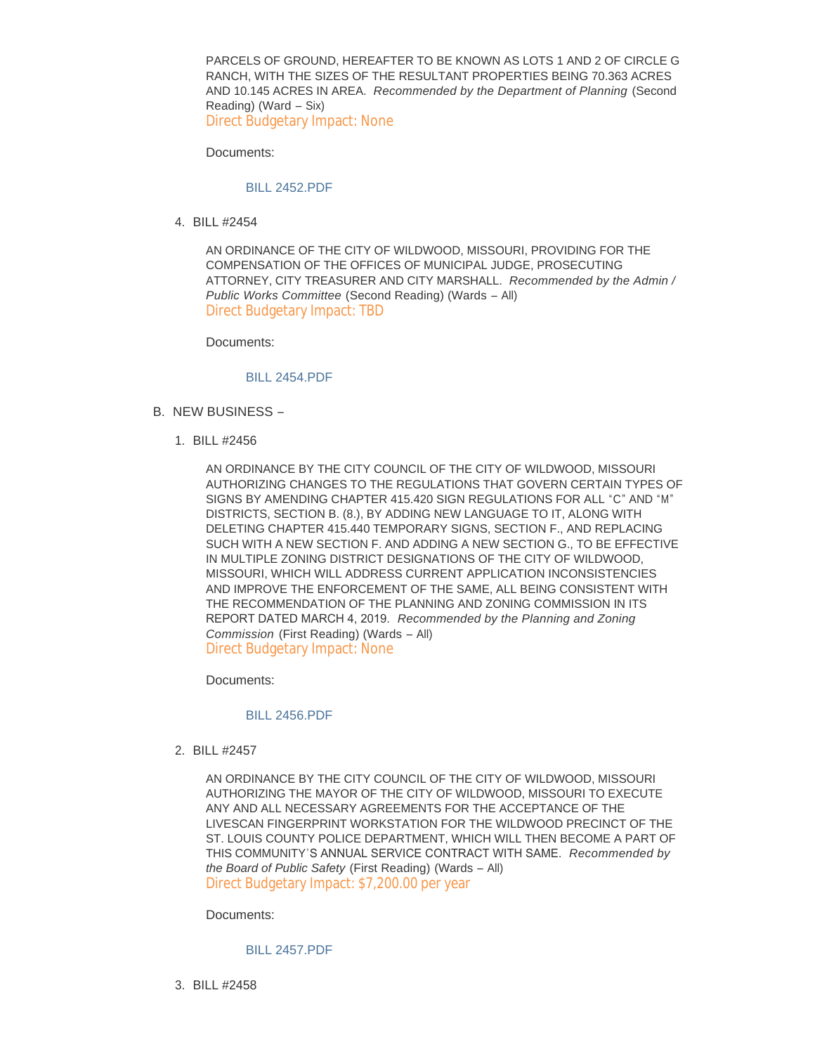PARCELS OF GROUND, HEREAFTER TO BE KNOWN AS LOTS 1 AND 2 OF CIRCLE G RANCH, WITH THE SIZES OF THE RESULTANT PROPERTIES BEING 70.363 ACRES AND 10.145 ACRES IN AREA. *Recommended by the Department of Planning* (Second Reading) (Ward – Six)

Direct Budgetary Impact: None

Documents:

## [BILL 2452.PDF](https://www.cityofwildwood.com/AgendaCenter/ViewFile/Item/19554?fileID=25738)

BILL #2454 4.

AN ORDINANCE OF THE CITY OF WILDWOOD, MISSOURI, PROVIDING FOR THE COMPENSATION OF THE OFFICES OF MUNICIPAL JUDGE, PROSECUTING ATTORNEY, CITY TREASURER AND CITY MARSHALL. *Recommended by the Admin / Public Works Committee* (Second Reading) (Wards – All) Direct Budgetary Impact: TBD

Documents:

### [BILL 2454.PDF](https://www.cityofwildwood.com/AgendaCenter/ViewFile/Item/19555?fileID=25739)

- B. NEW BUSINESS
	- BILL #2456 1.

AN ORDINANCE BY THE CITY COUNCIL OF THE CITY OF WILDWOOD, MISSOURI AUTHORIZING CHANGES TO THE REGULATIONS THAT GOVERN CERTAIN TYPES OF SIGNS BY AMENDING CHAPTER 415.420 SIGN REGULATIONS FOR ALL "C" AND "M" DISTRICTS, SECTION B. (8.), BY ADDING NEW LANGUAGE TO IT, ALONG WITH DELETING CHAPTER 415.440 TEMPORARY SIGNS, SECTION F., AND REPLACING SUCH WITH A NEW SECTION F. AND ADDING A NEW SECTION G., TO BE EFFECTIVE IN MULTIPLE ZONING DISTRICT DESIGNATIONS OF THE CITY OF WILDWOOD, MISSOURI, WHICH WILL ADDRESS CURRENT APPLICATION INCONSISTENCIES AND IMPROVE THE ENFORCEMENT OF THE SAME, ALL BEING CONSISTENT WITH THE RECOMMENDATION OF THE PLANNING AND ZONING COMMISSION IN ITS REPORT DATED MARCH 4, 2019. *Recommended by the Planning and Zoning Commission* (First Reading) (Wards – All) Direct Budgetary Impact: None

Documents:

# [BILL 2456.PDF](https://www.cityofwildwood.com/AgendaCenter/ViewFile/Item/19557?fileID=25740)

BILL #2457 2.

AN ORDINANCE BY THE CITY COUNCIL OF THE CITY OF WILDWOOD, MISSOURI AUTHORIZING THE MAYOR OF THE CITY OF WILDWOOD, MISSOURI TO EXECUTE ANY AND ALL NECESSARY AGREEMENTS FOR THE ACCEPTANCE OF THE LIVESCAN FINGERPRINT WORKSTATION FOR THE WILDWOOD PRECINCT OF THE ST. LOUIS COUNTY POLICE DEPARTMENT, WHICH WILL THEN BECOME A PART OF THIS COMMUNITY'S ANNUAL SERVICE CONTRACT WITH SAME. *Recommended by the Board of Public Safety* (First Reading) (Wards – All) Direct Budgetary Impact: \$7,200.00 per year

Documents:

# [BILL 2457.PDF](https://www.cityofwildwood.com/AgendaCenter/ViewFile/Item/19558?fileID=25741)

BILL #2458 3.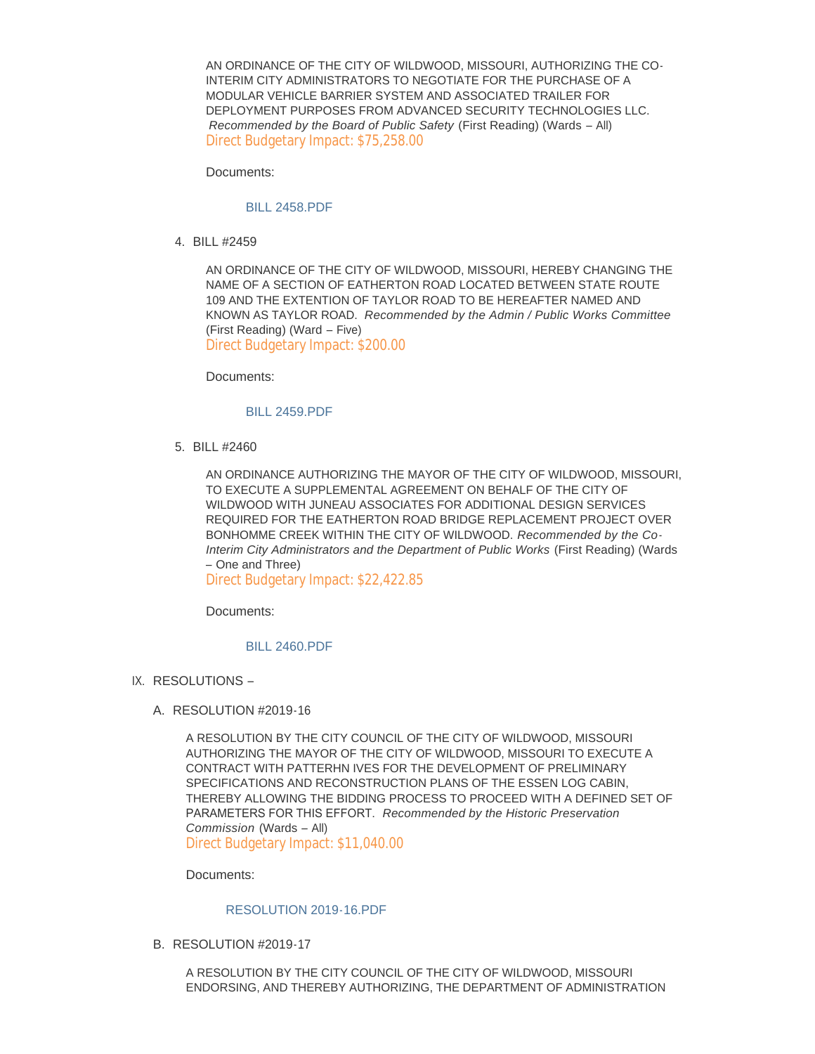AN ORDINANCE OF THE CITY OF WILDWOOD, MISSOURI, AUTHORIZING THE CO-INTERIM CITY ADMINISTRATORS TO NEGOTIATE FOR THE PURCHASE OF A MODULAR VEHICLE BARRIER SYSTEM AND ASSOCIATED TRAILER FOR DEPLOYMENT PURPOSES FROM ADVANCED SECURITY TECHNOLOGIES LLC. *Recommended by the Board of Public Safety* (First Reading) (Wards – All) Direct Budgetary Impact: \$75,258.00

Documents:

#### [BILL 2458.PDF](https://www.cityofwildwood.com/AgendaCenter/ViewFile/Item/19559?fileID=25742)

BILL #2459 4.

AN ORDINANCE OF THE CITY OF WILDWOOD, MISSOURI, HEREBY CHANGING THE NAME OF A SECTION OF EATHERTON ROAD LOCATED BETWEEN STATE ROUTE 109 AND THE EXTENTION OF TAYLOR ROAD TO BE HEREAFTER NAMED AND KNOWN AS TAYLOR ROAD. *Recommended by the Admin / Public Works Committee* (First Reading) (Ward – Five) Direct Budgetary Impact: \$200.00

Documents:

#### [BILL 2459.PDF](https://www.cityofwildwood.com/AgendaCenter/ViewFile/Item/19560?fileID=25743)

BILL #2460 5.

AN ORDINANCE AUTHORIZING THE MAYOR OF THE CITY OF WILDWOOD, MISSOURI, TO EXECUTE A SUPPLEMENTAL AGREEMENT ON BEHALF OF THE CITY OF WILDWOOD WITH JUNEAU ASSOCIATES FOR ADDITIONAL DESIGN SERVICES REQUIRED FOR THE EATHERTON ROAD BRIDGE REPLACEMENT PROJECT OVER BONHOMME CREEK WITHIN THE CITY OF WILDWOOD. *Recommended by the Co-Interim City Administrators and the Department of Public Works (First Reading) (Wards* – One and Three)

Direct Budgetary Impact: \$22,422.85

Documents:

#### [BILL 2460.PDF](https://www.cityofwildwood.com/AgendaCenter/ViewFile/Item/19561?fileID=25744)

- IX. RESOLUTIONS
	- A. RESOLUTION #2019-16

A RESOLUTION BY THE CITY COUNCIL OF THE CITY OF WILDWOOD, MISSOURI AUTHORIZING THE MAYOR OF THE CITY OF WILDWOOD, MISSOURI TO EXECUTE A CONTRACT WITH PATTERHN IVES FOR THE DEVELOPMENT OF PRELIMINARY SPECIFICATIONS AND RECONSTRUCTION PLANS OF THE ESSEN LOG CABIN, THEREBY ALLOWING THE BIDDING PROCESS TO PROCEED WITH A DEFINED SET OF PARAMETERS FOR THIS EFFORT. *Recommended by the Historic Preservation Commission* (Wards – All) Direct Budgetary Impact: \$11,040.00

Documents:

#### [RESOLUTION 2019-16.PDF](https://www.cityofwildwood.com/AgendaCenter/ViewFile/Item/19563?fileID=25745)

B. RESOLUTION #2019-17

A RESOLUTION BY THE CITY COUNCIL OF THE CITY OF WILDWOOD, MISSOURI ENDORSING, AND THEREBY AUTHORIZING, THE DEPARTMENT OF ADMINISTRATION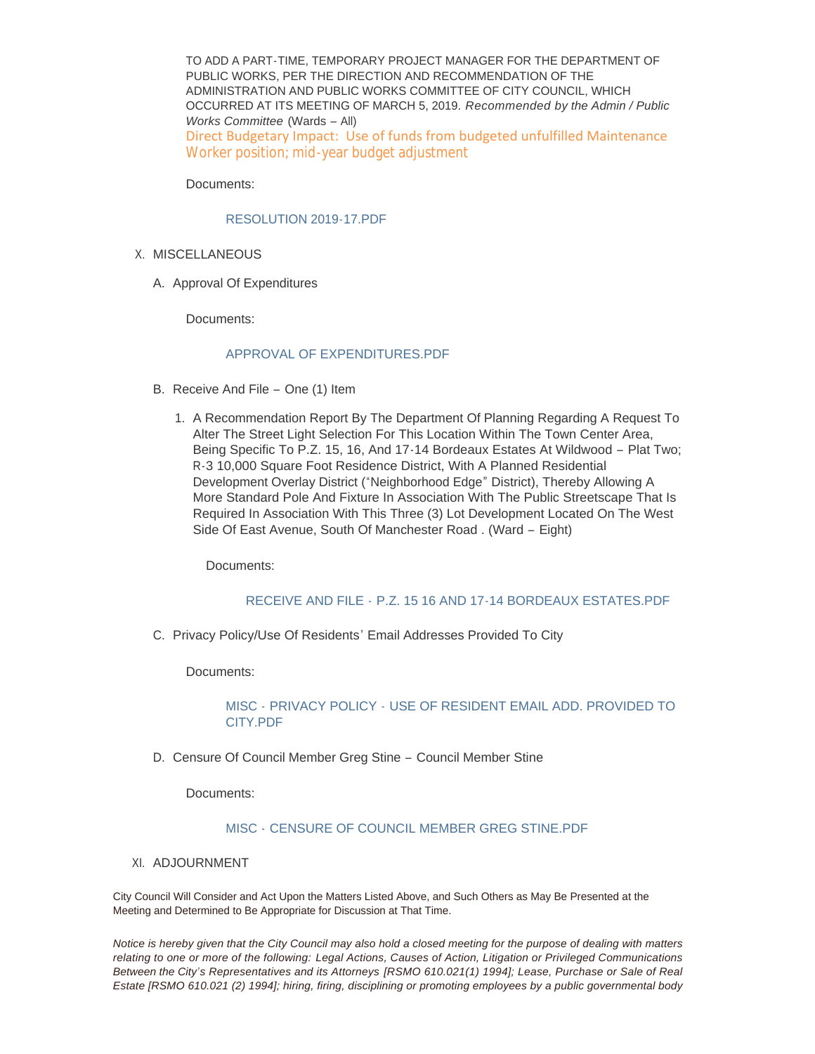TO ADD A PART-TIME, TEMPORARY PROJECT MANAGER FOR THE DEPARTMENT OF PUBLIC WORKS, PER THE DIRECTION AND RECOMMENDATION OF THE ADMINISTRATION AND PUBLIC WORKS COMMITTEE OF CITY COUNCIL, WHICH OCCURRED AT ITS MEETING OF MARCH 5, 2019. *Recommended by the Admin / Public Works Committee* (Wards – All) Direct Budgetary Impact: Use of funds from budgeted unfulfilled Maintenance Worker position; mid-year budget adjustment

Documents:

### [RESOLUTION 2019-17.PDF](https://www.cityofwildwood.com/AgendaCenter/ViewFile/Item/19564?fileID=25748)

- X. MISCELLANEOUS
	- A. Approval Of Expenditures

Documents:

## [APPROVAL OF EXPENDITURES.PDF](https://www.cityofwildwood.com/AgendaCenter/ViewFile/Item/19566?fileID=25746)

- B. Receive And File One (1) Item
	- 1. A Recommendation Report By The Department Of Planning Regarding A Request To Alter The Street Light Selection For This Location Within The Town Center Area, Being Specific To P.Z. 15, 16, And 17-14 Bordeaux Estates At Wildwood – Plat Two; R-3 10,000 Square Foot Residence District, With A Planned Residential Development Overlay District ("Neighborhood Edge" District), Thereby Allowing A More Standard Pole And Fixture In Association With The Public Streetscape That Is Required In Association With This Three (3) Lot Development Located On The West Side Of East Avenue, South Of Manchester Road . (Ward – Eight)

Documents:

#### RECEIVE AND FILE - [P.Z. 15 16 AND 17-14 BORDEAUX ESTATES.PDF](https://www.cityofwildwood.com/AgendaCenter/ViewFile/Item/19568?fileID=25747)

C. Privacy Policy/Use Of Residents' Email Addresses Provided To City

Documents:

MISC - PRIVACY POLICY - [USE OF RESIDENT EMAIL ADD. PROVIDED TO](https://www.cityofwildwood.com/AgendaCenter/ViewFile/Item/19569?fileID=25760)  CITY.PDF

D. Censure Of Council Member Greg Stine - Council Member Stine

Documents:

### MISC - [CENSURE OF COUNCIL MEMBER GREG STINE.PDF](https://www.cityofwildwood.com/AgendaCenter/ViewFile/Item/19570?fileID=25780)

XI. ADJOURNMENT

City Council Will Consider and Act Upon the Matters Listed Above, and Such Others as May Be Presented at the Meeting and Determined to Be Appropriate for Discussion at That Time.

*Notice is hereby given that the City Council may also hold a closed meeting for the purpose of dealing with matters relating to one or more of the following: Legal Actions, Causes of Action, Litigation or Privileged Communications Between the City's Representatives and its Attorneys [RSMO 610.021(1) 1994]; Lease, Purchase or Sale of Real Estate [RSMO 610.021 (2) 1994]; hiring, firing, disciplining or promoting employees by a public governmental body*